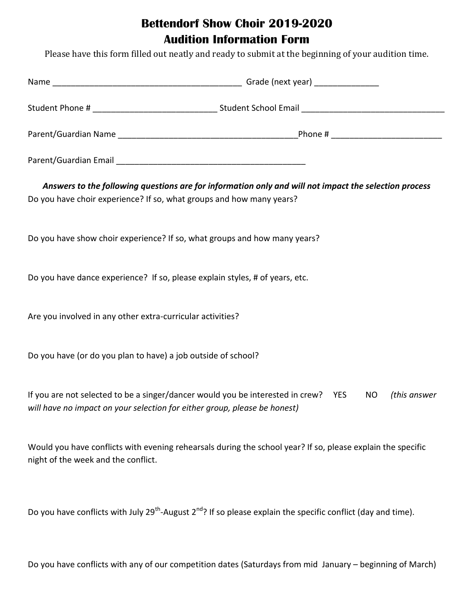## **Bettendorf Show Choir 2019-2020 Audition Information Form**

Please have this form filled out neatly and ready to submit at the beginning of your audition time.

| Answers to the following questions are for information only and will not impact the selection process<br>Do you have choir experience? If so, what groups and how many years? |                                                                                                                                       |  |
|-------------------------------------------------------------------------------------------------------------------------------------------------------------------------------|---------------------------------------------------------------------------------------------------------------------------------------|--|
| Do you have show choir experience? If so, what groups and how many years?                                                                                                     |                                                                                                                                       |  |
| Do you have dance experience? If so, please explain styles, # of years, etc.                                                                                                  |                                                                                                                                       |  |
| Are you involved in any other extra-curricular activities?                                                                                                                    |                                                                                                                                       |  |
| Do you have (or do you plan to have) a job outside of school?                                                                                                                 |                                                                                                                                       |  |
| If you are not selected to be a singer/dancer would you be interested in crew? YES<br>will have no impact on your selection for either group, please be honest)               | (this answer<br><b>NO</b>                                                                                                             |  |
| Would you have conflicts with evening rehearsals during the school year? If so, please explain the specific<br>night of the week and the conflict.                            |                                                                                                                                       |  |
|                                                                                                                                                                               | Do you have conflicts with July 29 <sup>th</sup> -August 2 <sup>nd</sup> ? If so please explain the specific conflict (day and time). |  |

Do you have conflicts with any of our competition dates (Saturdays from mid January – beginning of March)